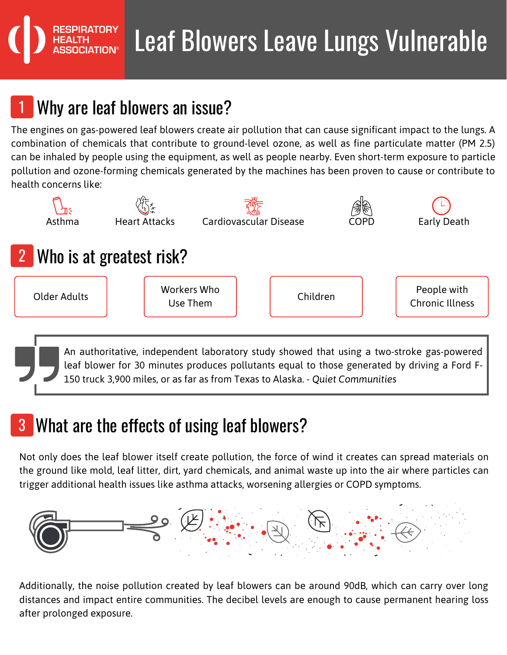# Leaf Blowers Leave Lungs Vulnerable

## Why are leaf blowers an issue?

The engines on gas-powered leaf blowers create air pollution that can cause significant impact to the lungs. A combination of chemicals that contribute to ground-level ozone, as well as fine particulate matter (PM 2.5) can be inhaled by people using the equipment, as well as people nearby. Even short-term exposure to particle pollution and ozone-forming chemicals generated by the machines has been proven to cause or contribute to health concerns like:



leaf blower for 30 minutes produces pollutants equal to those generated by driving a Ford F-150 truck 3,900 miles, or as far as from Texas to Alaska. - *Quiet Communities*

#### What are the effects of using leaf blowers?

Not only does the leaf blower itself create pollution, the force of wind it creates can spread materials on the ground like mold, leaf litter, dirt, yard chemicals, and animal waste up into the air where particles can trigger additional health issues like asthma attacks, worsening allergies or COPD symptoms.



Additionally, the noise pollution created by leaf blowers can be around 90dB, which can carry over long distances and impact entire communities. The decibel levels are enough to cause permanent hearing loss after prolonged exposure.